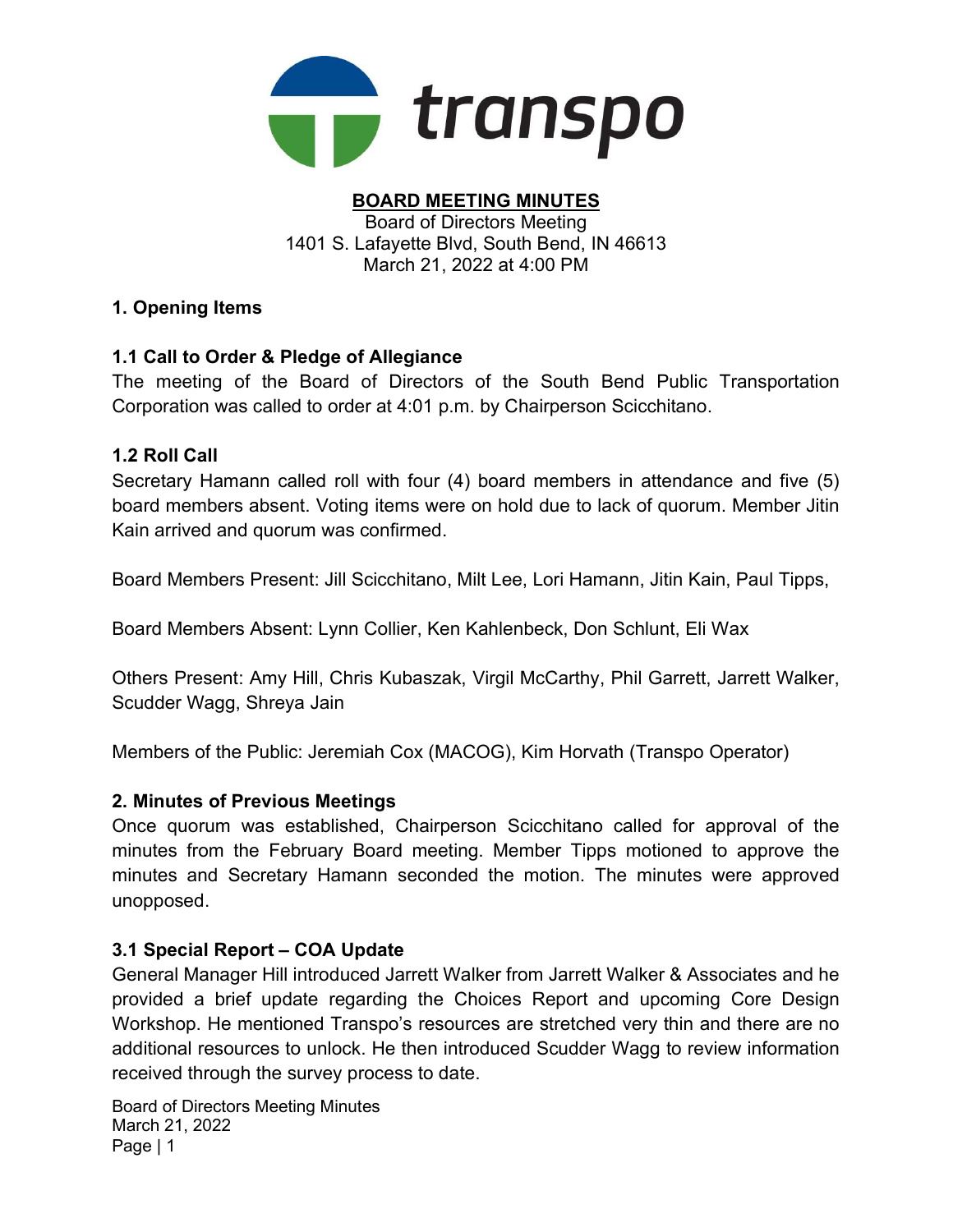

#### BOARD MEETING MINUTES Board of Directors Meeting 1401 S. Lafayette Blvd, South Bend, IN 46613 March 21, 2022 at 4:00 PM

### 1. Opening Items

### 1.1 Call to Order & Pledge of Allegiance

The meeting of the Board of Directors of the South Bend Public Transportation Corporation was called to order at 4:01 p.m. by Chairperson Scicchitano.

#### 1.2 Roll Call

Secretary Hamann called roll with four (4) board members in attendance and five (5) board members absent. Voting items were on hold due to lack of quorum. Member Jitin Kain arrived and quorum was confirmed.

Board Members Present: Jill Scicchitano, Milt Lee, Lori Hamann, Jitin Kain, Paul Tipps,

Board Members Absent: Lynn Collier, Ken Kahlenbeck, Don Schlunt, Eli Wax

Others Present: Amy Hill, Chris Kubaszak, Virgil McCarthy, Phil Garrett, Jarrett Walker, Scudder Wagg, Shreya Jain

Members of the Public: Jeremiah Cox (MACOG), Kim Horvath (Transpo Operator)

#### 2. Minutes of Previous Meetings

Once quorum was established, Chairperson Scicchitano called for approval of the minutes from the February Board meeting. Member Tipps motioned to approve the minutes and Secretary Hamann seconded the motion. The minutes were approved unopposed.

#### 3.1 Special Report – COA Update

General Manager Hill introduced Jarrett Walker from Jarrett Walker & Associates and he provided a brief update regarding the Choices Report and upcoming Core Design Workshop. He mentioned Transpo's resources are stretched very thin and there are no additional resources to unlock. He then introduced Scudder Wagg to review information received through the survey process to date.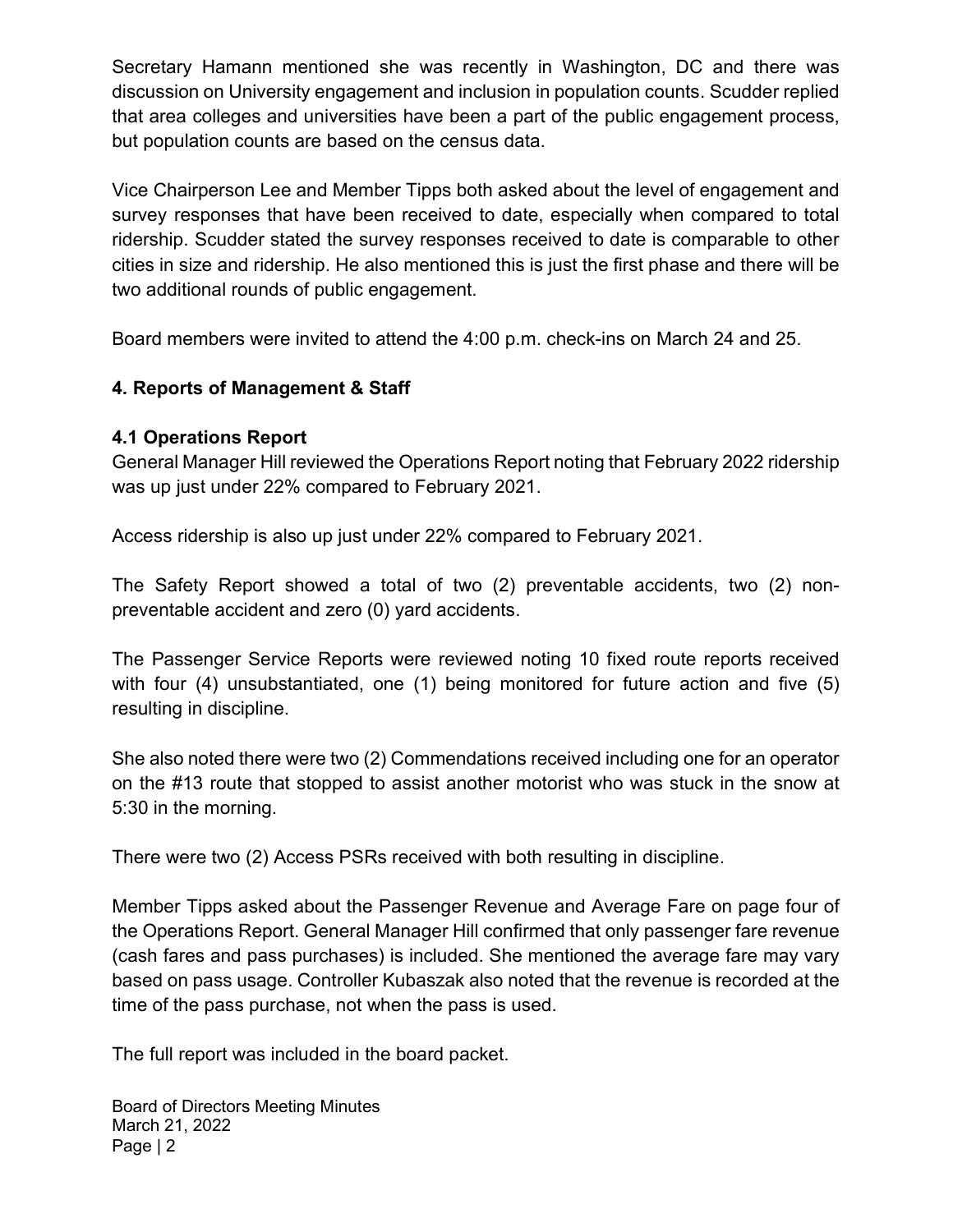Secretary Hamann mentioned she was recently in Washington, DC and there was discussion on University engagement and inclusion in population counts. Scudder replied that area colleges and universities have been a part of the public engagement process, but population counts are based on the census data.

Vice Chairperson Lee and Member Tipps both asked about the level of engagement and survey responses that have been received to date, especially when compared to total ridership. Scudder stated the survey responses received to date is comparable to other cities in size and ridership. He also mentioned this is just the first phase and there will be two additional rounds of public engagement.

Board members were invited to attend the 4:00 p.m. check-ins on March 24 and 25.

### 4. Reports of Management & Staff

#### 4.1 Operations Report

General Manager Hill reviewed the Operations Report noting that February 2022 ridership was up just under 22% compared to February 2021.

Access ridership is also up just under 22% compared to February 2021.

The Safety Report showed a total of two (2) preventable accidents, two (2) nonpreventable accident and zero (0) yard accidents.

The Passenger Service Reports were reviewed noting 10 fixed route reports received with four (4) unsubstantiated, one (1) being monitored for future action and five (5) resulting in discipline.

She also noted there were two (2) Commendations received including one for an operator on the #13 route that stopped to assist another motorist who was stuck in the snow at 5:30 in the morning.

There were two (2) Access PSRs received with both resulting in discipline.

Member Tipps asked about the Passenger Revenue and Average Fare on page four of the Operations Report. General Manager Hill confirmed that only passenger fare revenue (cash fares and pass purchases) is included. She mentioned the average fare may vary based on pass usage. Controller Kubaszak also noted that the revenue is recorded at the time of the pass purchase, not when the pass is used.

The full report was included in the board packet.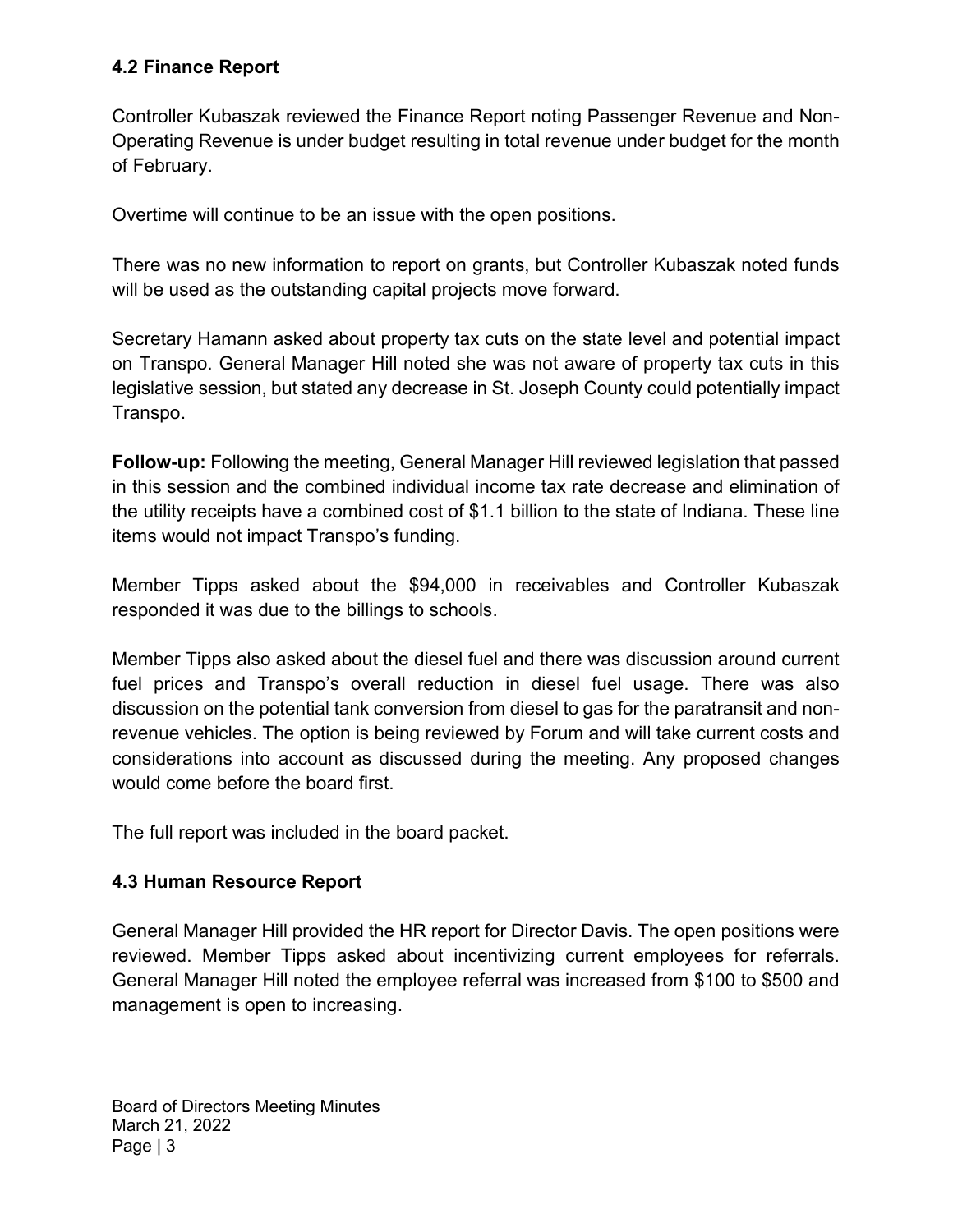### 4.2 Finance Report

Controller Kubaszak reviewed the Finance Report noting Passenger Revenue and Non-Operating Revenue is under budget resulting in total revenue under budget for the month of February.

Overtime will continue to be an issue with the open positions.

There was no new information to report on grants, but Controller Kubaszak noted funds will be used as the outstanding capital projects move forward.

Secretary Hamann asked about property tax cuts on the state level and potential impact on Transpo. General Manager Hill noted she was not aware of property tax cuts in this legislative session, but stated any decrease in St. Joseph County could potentially impact Transpo.

Follow-up: Following the meeting, General Manager Hill reviewed legislation that passed in this session and the combined individual income tax rate decrease and elimination of the utility receipts have a combined cost of \$1.1 billion to the state of Indiana. These line items would not impact Transpo's funding.

Member Tipps asked about the \$94,000 in receivables and Controller Kubaszak responded it was due to the billings to schools.

Member Tipps also asked about the diesel fuel and there was discussion around current fuel prices and Transpo's overall reduction in diesel fuel usage. There was also discussion on the potential tank conversion from diesel to gas for the paratransit and nonrevenue vehicles. The option is being reviewed by Forum and will take current costs and considerations into account as discussed during the meeting. Any proposed changes would come before the board first.

The full report was included in the board packet.

## 4.3 Human Resource Report

General Manager Hill provided the HR report for Director Davis. The open positions were reviewed. Member Tipps asked about incentivizing current employees for referrals. General Manager Hill noted the employee referral was increased from \$100 to \$500 and management is open to increasing.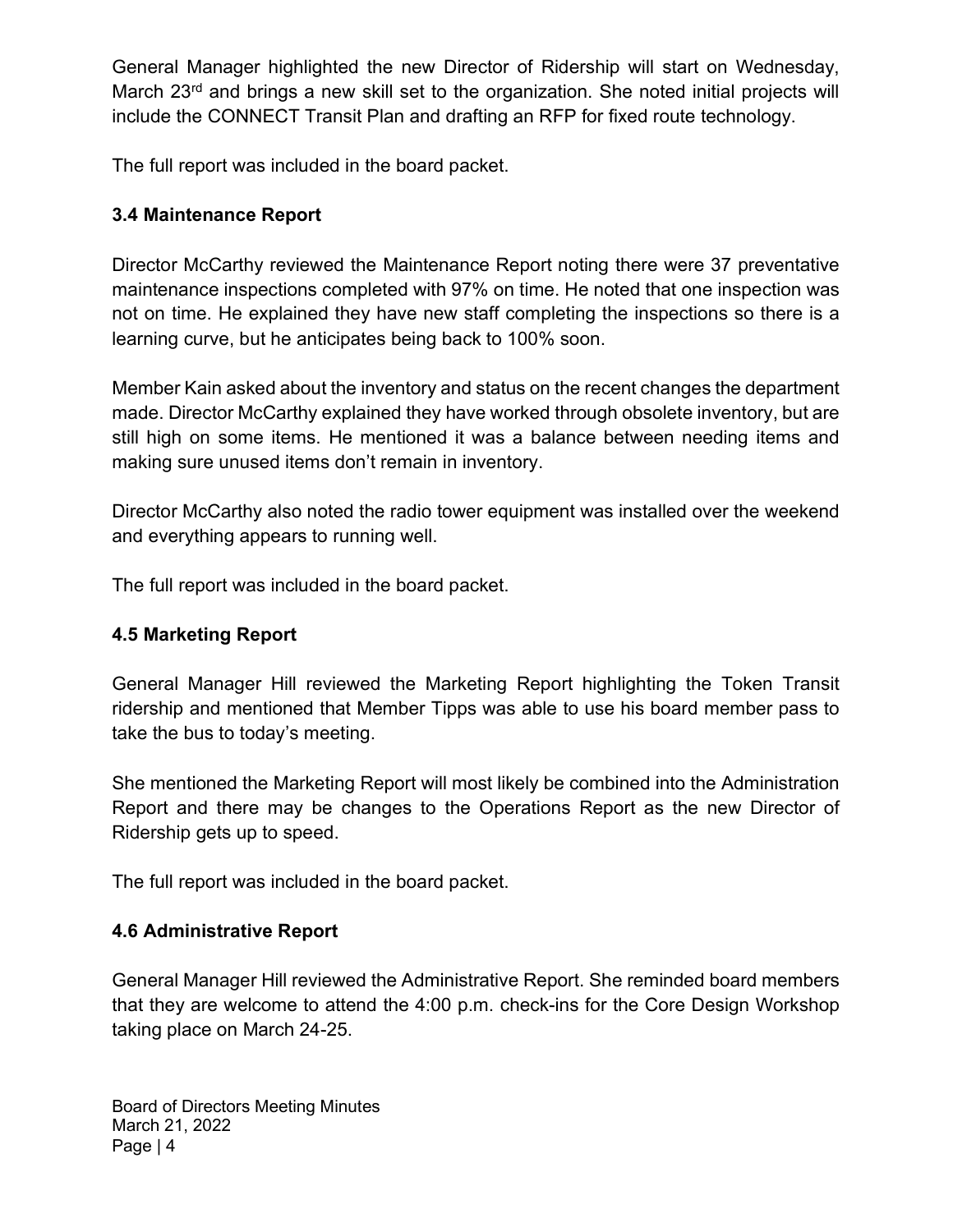General Manager highlighted the new Director of Ridership will start on Wednesday, March 23<sup>rd</sup> and brings a new skill set to the organization. She noted initial projects will include the CONNECT Transit Plan and drafting an RFP for fixed route technology.

The full report was included in the board packet.

### 3.4 Maintenance Report

Director McCarthy reviewed the Maintenance Report noting there were 37 preventative maintenance inspections completed with 97% on time. He noted that one inspection was not on time. He explained they have new staff completing the inspections so there is a learning curve, but he anticipates being back to 100% soon.

Member Kain asked about the inventory and status on the recent changes the department made. Director McCarthy explained they have worked through obsolete inventory, but are still high on some items. He mentioned it was a balance between needing items and making sure unused items don't remain in inventory.

Director McCarthy also noted the radio tower equipment was installed over the weekend and everything appears to running well.

The full report was included in the board packet.

## 4.5 Marketing Report

General Manager Hill reviewed the Marketing Report highlighting the Token Transit ridership and mentioned that Member Tipps was able to use his board member pass to take the bus to today's meeting.

She mentioned the Marketing Report will most likely be combined into the Administration Report and there may be changes to the Operations Report as the new Director of Ridership gets up to speed.

The full report was included in the board packet.

## 4.6 Administrative Report

General Manager Hill reviewed the Administrative Report. She reminded board members that they are welcome to attend the 4:00 p.m. check-ins for the Core Design Workshop taking place on March 24-25.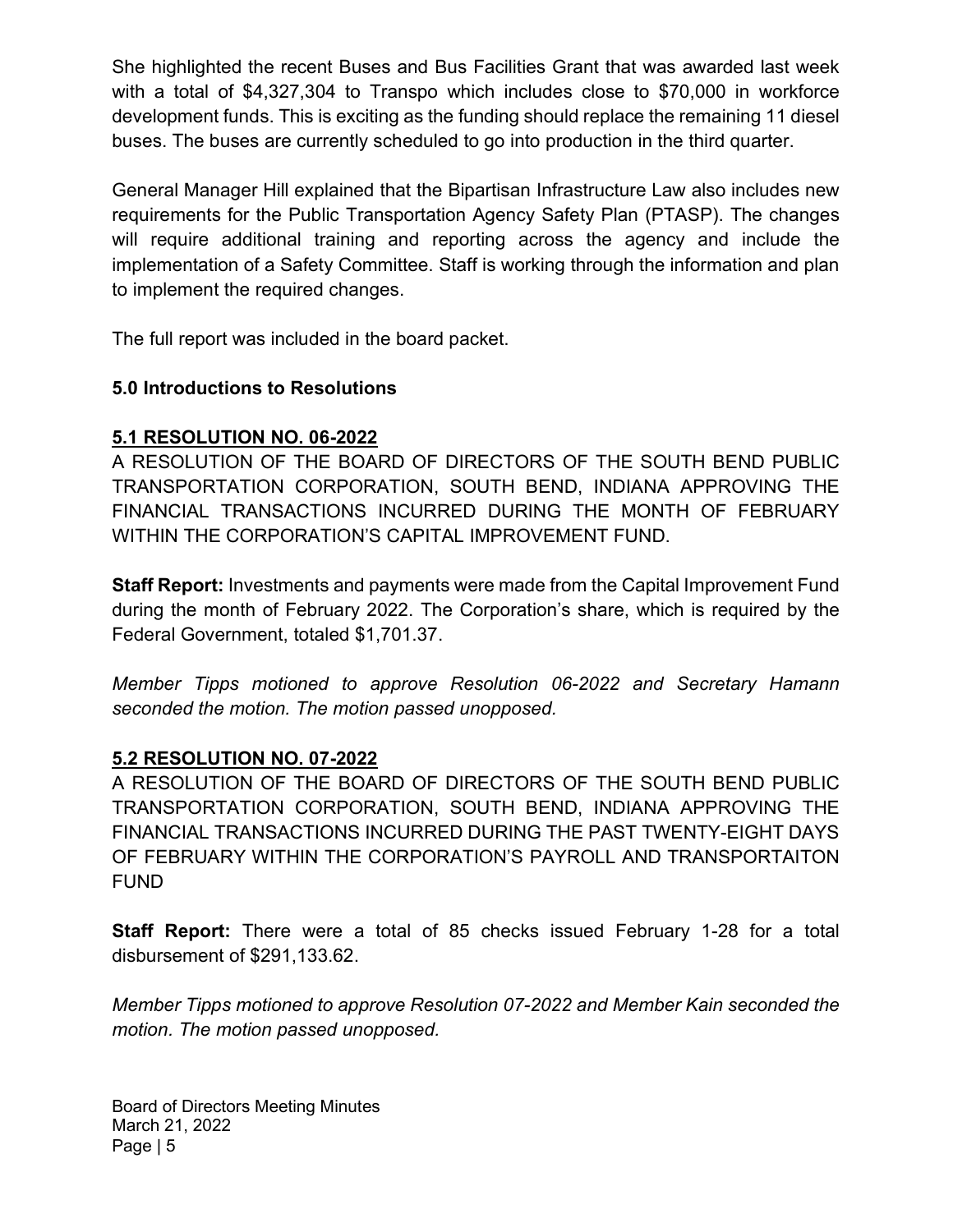She highlighted the recent Buses and Bus Facilities Grant that was awarded last week with a total of \$4,327,304 to Transpo which includes close to \$70,000 in workforce development funds. This is exciting as the funding should replace the remaining 11 diesel buses. The buses are currently scheduled to go into production in the third quarter.

General Manager Hill explained that the Bipartisan Infrastructure Law also includes new requirements for the Public Transportation Agency Safety Plan (PTASP). The changes will require additional training and reporting across the agency and include the implementation of a Safety Committee. Staff is working through the information and plan to implement the required changes.

The full report was included in the board packet.

### 5.0 Introductions to Resolutions

## 5.1 RESOLUTION NO. 06-2022

A RESOLUTION OF THE BOARD OF DIRECTORS OF THE SOUTH BEND PUBLIC TRANSPORTATION CORPORATION, SOUTH BEND, INDIANA APPROVING THE FINANCIAL TRANSACTIONS INCURRED DURING THE MONTH OF FEBRUARY WITHIN THE CORPORATION'S CAPITAL IMPROVEMENT FUND.

Staff Report: Investments and payments were made from the Capital Improvement Fund during the month of February 2022. The Corporation's share, which is required by the Federal Government, totaled \$1,701.37.

Member Tipps motioned to approve Resolution 06-2022 and Secretary Hamann seconded the motion. The motion passed unopposed.

#### 5.2 RESOLUTION NO. 07-2022

A RESOLUTION OF THE BOARD OF DIRECTORS OF THE SOUTH BEND PUBLIC TRANSPORTATION CORPORATION, SOUTH BEND, INDIANA APPROVING THE FINANCIAL TRANSACTIONS INCURRED DURING THE PAST TWENTY-EIGHT DAYS OF FEBRUARY WITHIN THE CORPORATION'S PAYROLL AND TRANSPORTAITON FUND

**Staff Report:** There were a total of 85 checks issued February 1-28 for a total disbursement of \$291,133.62.

Member Tipps motioned to approve Resolution 07-2022 and Member Kain seconded the motion. The motion passed unopposed.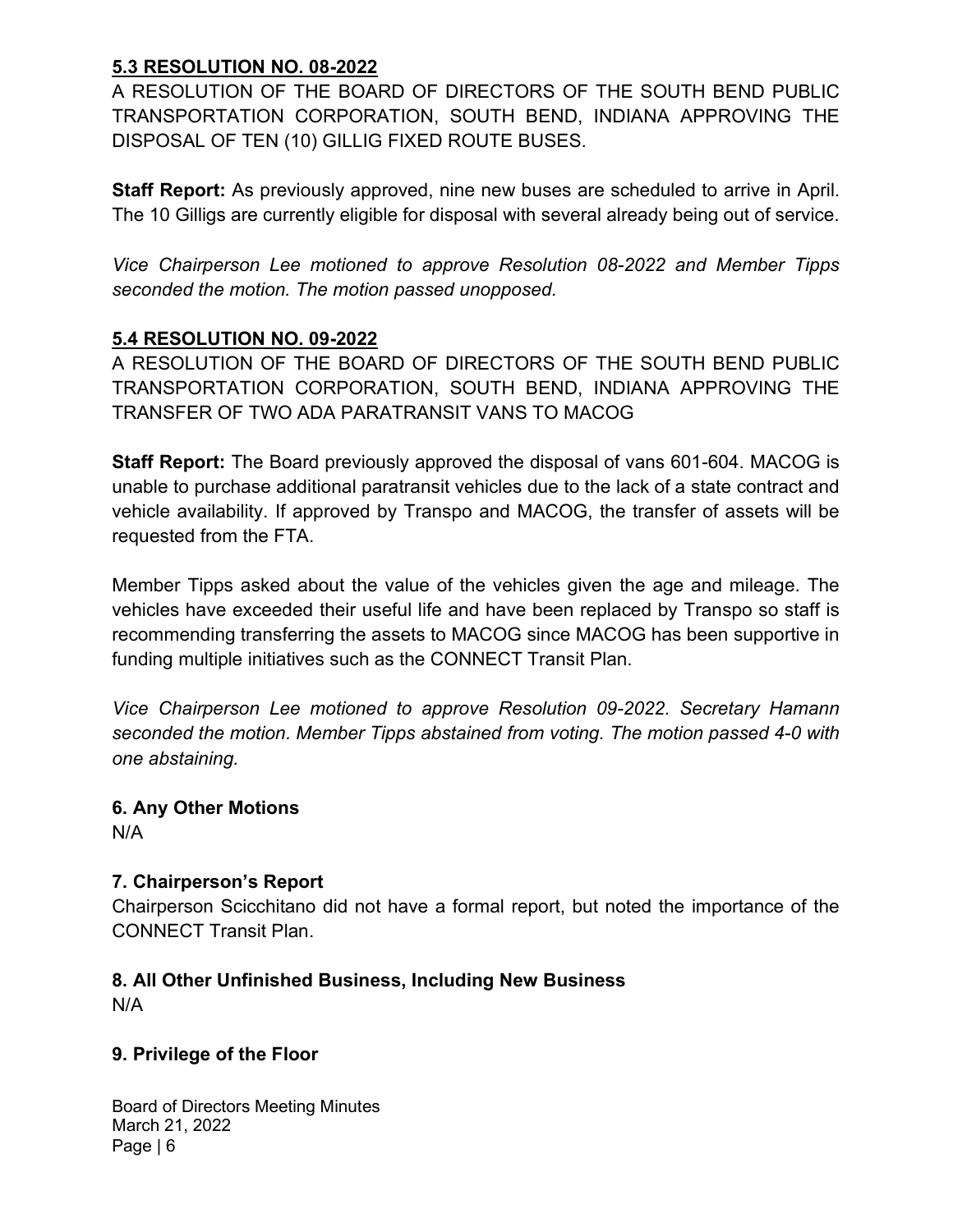### 5.3 RESOLUTION NO. 08-2022

A RESOLUTION OF THE BOARD OF DIRECTORS OF THE SOUTH BEND PUBLIC TRANSPORTATION CORPORATION, SOUTH BEND, INDIANA APPROVING THE DISPOSAL OF TEN (10) GILLIG FIXED ROUTE BUSES.

Staff Report: As previously approved, nine new buses are scheduled to arrive in April. The 10 Gilligs are currently eligible for disposal with several already being out of service.

Vice Chairperson Lee motioned to approve Resolution 08-2022 and Member Tipps seconded the motion. The motion passed unopposed.

### 5.4 RESOLUTION NO. 09-2022

A RESOLUTION OF THE BOARD OF DIRECTORS OF THE SOUTH BEND PUBLIC TRANSPORTATION CORPORATION, SOUTH BEND, INDIANA APPROVING THE TRANSFER OF TWO ADA PARATRANSIT VANS TO MACOG

Staff Report: The Board previously approved the disposal of vans 601-604. MACOG is unable to purchase additional paratransit vehicles due to the lack of a state contract and vehicle availability. If approved by Transpo and MACOG, the transfer of assets will be requested from the FTA.

Member Tipps asked about the value of the vehicles given the age and mileage. The vehicles have exceeded their useful life and have been replaced by Transpo so staff is recommending transferring the assets to MACOG since MACOG has been supportive in funding multiple initiatives such as the CONNECT Transit Plan.

Vice Chairperson Lee motioned to approve Resolution 09-2022. Secretary Hamann seconded the motion. Member Tipps abstained from voting. The motion passed 4-0 with one abstaining.

# 6. Any Other Motions

N/A

#### 7. Chairperson's Report

Chairperson Scicchitano did not have a formal report, but noted the importance of the CONNECT Transit Plan.

## 8. All Other Unfinished Business, Including New Business

N/A

#### 9. Privilege of the Floor